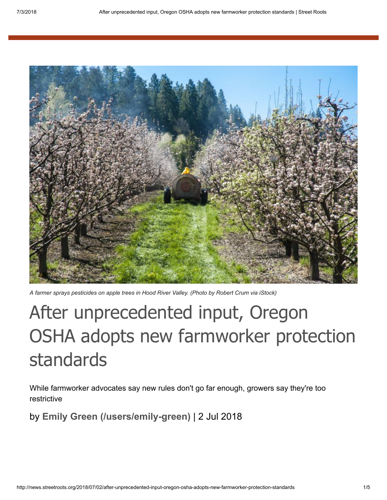

*A farmer sprays pesticides on apple trees in Hood River Valley. (Photo by Robert Crum via iStock)*

## After unprecedented input, Oregon OSHA adopts new farmworker protection standards

While farmworker advocates say new rules don't go far enough, growers say they're too restrictive

by **[Emily Green \(/users/emily-green\)](http://news.streetroots.org/users/emily-green)** | 2 Jul 2018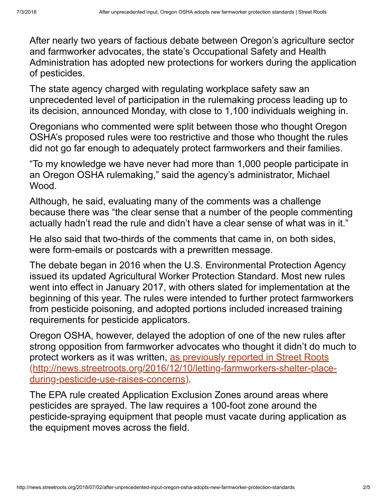After nearly two years of factious debate between Oregon's agriculture sector and farmworker advocates, the state's Occupational Safety and Health Administration has adopted new protections for workers during the application of pesticides.

The state agency charged with regulating workplace safety saw an unprecedented level of participation in the rulemaking process leading up to its decision, announced Monday, with close to 1,100 individuals weighing in.

Oregonians who commented were split between those who thought Oregon OSHA's proposed rules were too restrictive and those who thought the rules did not go far enough to adequately protect farmworkers and their families.

"To my knowledge we have never had more than 1,000 people participate in an Oregon OSHA rulemaking," said the agency's administrator, Michael Wood.

Although, he said, evaluating many of the comments was a challenge because there was "the clear sense that a number of the people commenting actually hadn't read the rule and didn't have a clear sense of what was in it."

He also said that two-thirds of the comments that came in, on both sides, were form-emails or postcards with a prewritten message.

The debate began in 2016 when the U.S. Environmental Protection Agency issued its updated Agricultural Worker Protection Standard. Most new rules went into effect in January 2017, with others slated for implementation at the beginning of this year. The rules were intended to further protect farmworkers from pesticide poisoning, and adopted portions included increased training requirements for pesticide applicators.

Oregon OSHA, however, delayed the adoption of one of the new rules after strong opposition from farmworker advocates who thought it didn't do much to protect workers as it was written, as previously reported in Street Roots [\(http://news.streetroots.org/2016/12/10/letting-farmworkers-shelter-place](http://news.streetroots.org/2016/12/10/letting-farmworkers-shelter-place-during-pesticide-use-raises-concerns)during-pesticide-use-raises-concerns).

The EPA rule created Application Exclusion Zones around areas where pesticides are sprayed. The law requires a 100-foot zone around the pesticide-spraying equipment that people must vacate during application as the equipment moves across the field.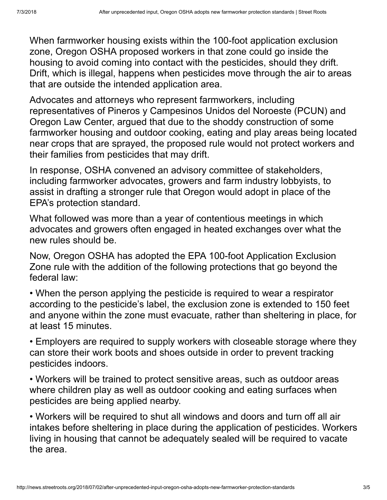When farmworker housing exists within the 100-foot application exclusion zone, Oregon OSHA proposed workers in that zone could go inside the housing to avoid coming into contact with the pesticides, should they drift. Drift, which is illegal, happens when pesticides move through the air to areas that are outside the intended application area.

Advocates and attorneys who represent farmworkers, including representatives of Pineros y Campesinos Unidos del Noroeste (PCUN) and Oregon Law Center, argued that due to the shoddy construction of some farmworker housing and outdoor cooking, eating and play areas being located near crops that are sprayed, the proposed rule would not protect workers and their families from pesticides that may drift.

In response, OSHA convened an advisory committee of stakeholders, including farmworker advocates, growers and farm industry lobbyists, to assist in drafting a stronger rule that Oregon would adopt in place of the EPA's protection standard.

What followed was more than a year of contentious meetings in which advocates and growers often engaged in heated exchanges over what the new rules should be.

Now, Oregon OSHA has adopted the EPA 100-foot Application Exclusion Zone rule with the addition of the following protections that go beyond the federal law:

• When the person applying the pesticide is required to wear a respirator according to the pesticide's label, the exclusion zone is extended to 150 feet and anyone within the zone must evacuate, rather than sheltering in place, for at least 15 minutes.

• Employers are required to supply workers with closeable storage where they can store their work boots and shoes outside in order to prevent tracking pesticides indoors.

• Workers will be trained to protect sensitive areas, such as outdoor areas where children play as well as outdoor cooking and eating surfaces when pesticides are being applied nearby.

• Workers will be required to shut all windows and doors and turn off all air intakes before sheltering in place during the application of pesticides. Workers living in housing that cannot be adequately sealed will be required to vacate the area.